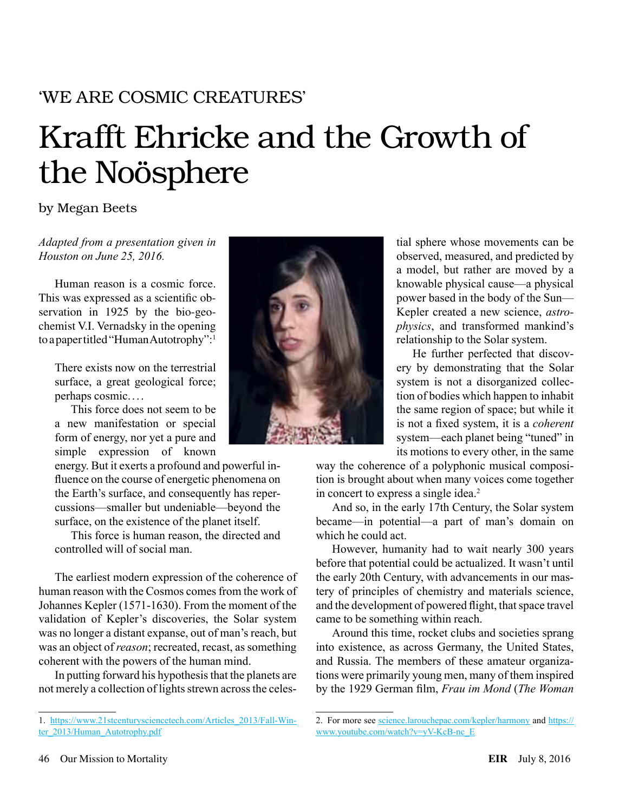# 'WE ARE COSMIC CREATURES'

# Krafft Ehricke and the Growth of the Noösphere

# by Megan Beets

*Adapted from a presentation given in Houston on June 25, 2016.*

Human reason is a cosmic force. This was expressed as a scientific observation in 1925 by the bio-geochemist V.I. Vernadsky in the opening to a paper titled "Human Autotrophy":<sup>1</sup>

There exists now on the terrestrial surface, a great geological force; perhaps cosmic... .

This force does not seem to be a new manifestation or special form of energy, nor yet a pure and simple expression of known

energy. But it exerts a profound and powerful influence on the course of energetic phenomena on the Earth's surface, and consequently has repercussions—smaller but undeniable—beyond the surface, on the existence of the planet itself.

This force is human reason, the directed and controlled will of social man.

The earliest modern expression of the coherence of human reason with the Cosmos comes from the work of Johannes Kepler (1571-1630). From the moment of the validation of Kepler's discoveries, the Solar system was no longer a distant expanse, out of man's reach, but was an object of *reason*; recreated, recast, as something coherent with the powers of the human mind.

In putting forward his hypothesis that the planets are not merely a collection of lights strewn across the celes-



tial sphere whose movements can be observed, measured, and predicted by a model, but rather are moved by a knowable physical cause—a physical power based in the body of the Sun— Kepler created a new science, *astrophysics*, and transformed mankind's relationship to the Solar system.

He further perfected that discovery by demonstrating that the Solar system is not a disorganized collection of bodies which happen to inhabit the same region of space; but while it is not a fixed system, it is a *coherent* system—each planet being "tuned" in its motions to every other, in the same

way the coherence of a polyphonic musical composition is brought about when many voices come together in concert to express a single idea.<sup>2</sup>

And so, in the early 17th Century, the Solar system became—in potential—a part of man's domain on which he could act.

However, humanity had to wait nearly 300 years before that potential could be actualized. It wasn't until the early 20th Century, with advancements in our mastery of principles of chemistry and materials science, and the development of powered flight, that space travel came to be something within reach.

Around this time, rocket clubs and societies sprang into existence, as across Germany, the United States, and Russia. The members of these amateur organizations were primarily young men, many of them inspired by the 1929 German film, *Frau im Mond* (*The Woman* 

<sup>1.</sup> [https://www.21stcenturysciencetech.com/Articles\\_2013/Fall-Win](https://www.21stcenturysciencetech.com/Articles_2013/Fall-Winter_2013/Human_Autotrophy.pdf)[ter\\_2013/Human\\_Autotrophy.pdf](https://www.21stcenturysciencetech.com/Articles_2013/Fall-Winter_2013/Human_Autotrophy.pdf)

<sup>2.</sup> For more see **science**.larouchepac.com/kepler/harmony and [https://](https://www.youtube.com/watch?v=yV-KcB-nc_E) www.youtube.com/watch?v=yV-KcB-nc E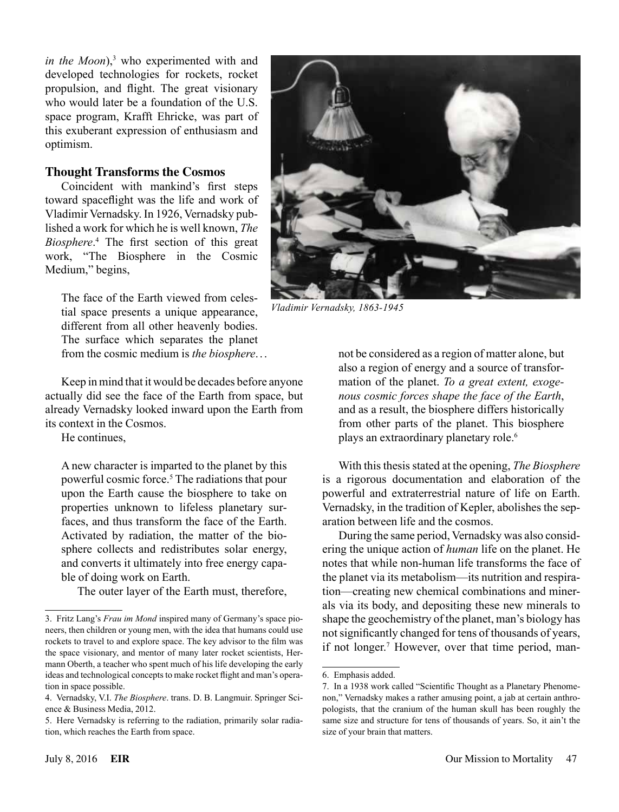*in the Moon*),<sup>3</sup> who experimented with and developed technologies for rockets, rocket propulsion, and flight. The great visionary who would later be a foundation of the U.S. space program, Krafft Ehricke, was part of this exuberant expression of enthusiasm and optimism.

#### **Thought Transforms the Cosmos**

Coincident with mankind's first steps toward spaceflight was the life and work of Vladimir Vernadsky. In 1926, Vernadsky published a work for which he is well known, *The Biosphere*. 4 The first section of this great work, "The Biosphere in the Cosmic Medium," begins,

The face of the Earth viewed from celestial space presents a unique appearance, different from all other heavenly bodies. The surface which separates the planet from the cosmic medium is *the biosphere*...

Keep in mind that it would be decades before anyone actually did see the face of the Earth from space, but already Vernadsky looked inward upon the Earth from its context in the Cosmos.

He continues,

A new character is imparted to the planet by this powerful cosmic force.<sup>5</sup> The radiations that pour upon the Earth cause the biosphere to take on properties unknown to lifeless planetary surfaces, and thus transform the face of the Earth. Activated by radiation, the matter of the biosphere collects and redistributes solar energy, and converts it ultimately into free energy capable of doing work on Earth.

The outer layer of the Earth must, therefore,



*Vladimir Vernadsky, 1863-1945*

not be considered as a region of matter alone, but also a region of energy and a source of transformation of the planet. *To a great extent, exogenous cosmic forces shape the face of the Earth*, and as a result, the biosphere differs historically from other parts of the planet. This biosphere plays an extraordinary planetary role.<sup>6</sup>

With this thesis stated at the opening, *The Biosphere* is a rigorous documentation and elaboration of the powerful and extraterrestrial nature of life on Earth. Vernadsky, in the tradition of Kepler, abolishes the separation between life and the cosmos.

During the same period, Vernadsky was also considering the unique action of *human* life on the planet. He notes that while non-human life transforms the face of the planet via its metabolism—its nutrition and respiration—creating new chemical combinations and minerals via its body, and depositing these new minerals to shape the geochemistry of the planet, man's biology has not significantly changed for tens of thousands of years, if not longer.<sup>7</sup> However, over that time period, man-

<sup>3.</sup> Fritz Lang's *Frau im Mond* inspired many of Germany's space pioneers, then children or young men, with the idea that humans could use rockets to travel to and explore space. The key advisor to the film was the space visionary, and mentor of many later rocket scientists, Hermann Oberth, a teacher who spent much of his life developing the early ideas and technological concepts to make rocket flight and man's operation in space possible.

<sup>4.</sup> Vernadsky, V.I. *The Biosphere*. trans. D. B. Langmuir. Springer Science & Business Media, 2012.

<sup>5.</sup> Here Vernadsky is referring to the radiation, primarily solar radiation, which reaches the Earth from space.

<sup>6.</sup> Emphasis added.

<sup>7.</sup> In a 1938 work called "Scientific Thought as a Planetary Phenomenon," Vernadsky makes a rather amusing point, a jab at certain anthropologists, that the cranium of the human skull has been roughly the same size and structure for tens of thousands of years. So, it ain't the size of your brain that matters.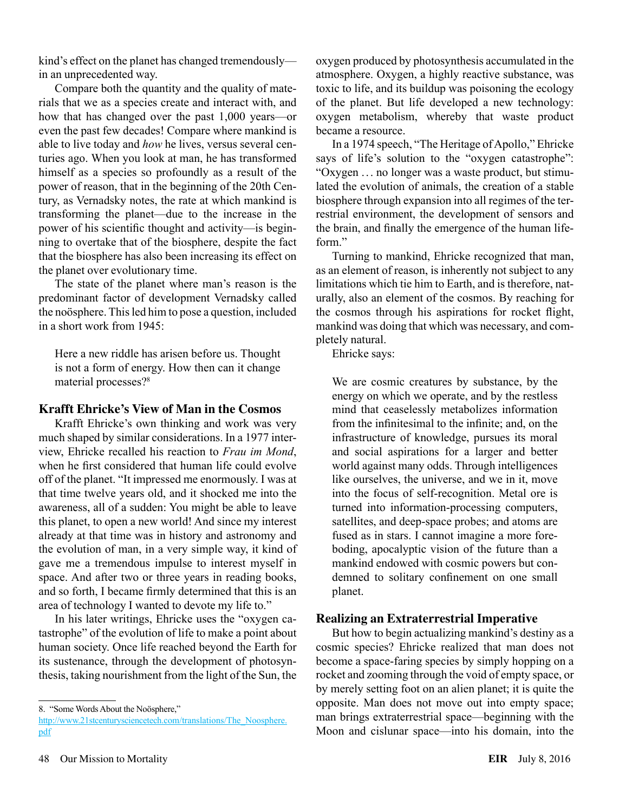kind's effect on the planet has changed tremendously in an unprecedented way.

Compare both the quantity and the quality of materials that we as a species create and interact with, and how that has changed over the past 1,000 years—or even the past few decades! Compare where mankind is able to live today and *how* he lives, versus several centuries ago. When you look at man, he has transformed himself as a species so profoundly as a result of the power of reason, that in the beginning of the 20th Century, as Vernadsky notes, the rate at which mankind is transforming the planet—due to the increase in the power of his scientific thought and activity—is beginning to overtake that of the biosphere, despite the fact that the biosphere has also been increasing its effect on the planet over evolutionary time.

The state of the planet where man's reason is the predominant factor of development Vernadsky called the noösphere. This led him to pose a question, included in a short work from 1945:

Here a new riddle has arisen before us. Thought is not a form of energy. How then can it change material processes?<sup>8</sup>

### **Krafft Ehricke's View of Man in the Cosmos**

Krafft Ehricke's own thinking and work was very much shaped by similar considerations. In a 1977 interview, Ehricke recalled his reaction to *Frau im Mond*, when he first considered that human life could evolve off of the planet. "It impressed me enormously. I was at that time twelve years old, and it shocked me into the awareness, all of a sudden: You might be able to leave this planet, to open a new world! And since my interest already at that time was in history and astronomy and the evolution of man, in a very simple way, it kind of gave me a tremendous impulse to interest myself in space. And after two or three years in reading books, and so forth, I became firmly determined that this is an area of technology I wanted to devote my life to."

In his later writings, Ehricke uses the "oxygen catastrophe" of the evolution of life to make a point about human society. Once life reached beyond the Earth for its sustenance, through the development of photosynthesis, taking nourishment from the light of the Sun, the

oxygen produced by photosynthesis accumulated in the atmosphere. Oxygen, a highly reactive substance, was toxic to life, and its buildup was poisoning the ecology of the planet. But life developed a new technology: oxygen metabolism, whereby that waste product became a resource.

In a 1974 speech, "The Heritage of Apollo," Ehricke says of life's solution to the "oxygen catastrophe": "Oxygen . .. no longer was a waste product, but stimulated the evolution of animals, the creation of a stable biosphere through expansion into all regimes of the terrestrial environment, the development of sensors and the brain, and finally the emergence of the human lifeform"

Turning to mankind, Ehricke recognized that man, as an element of reason, is inherently not subject to any limitations which tie him to Earth, and is therefore, naturally, also an element of the cosmos. By reaching for the cosmos through his aspirations for rocket flight, mankind was doing that which was necessary, and completely natural.

Ehricke says:

We are cosmic creatures by substance, by the energy on which we operate, and by the restless mind that ceaselessly metabolizes information from the infinitesimal to the infinite; and, on the infrastructure of knowledge, pursues its moral and social aspirations for a larger and better world against many odds. Through intelligences like ourselves, the universe, and we in it, move into the focus of self-recognition. Metal ore is turned into information-processing computers, satellites, and deep-space probes; and atoms are fused as in stars. I cannot imagine a more foreboding, apocalyptic vision of the future than a mankind endowed with cosmic powers but condemned to solitary confinement on one small planet.

# **Realizing an Extraterrestrial Imperative**

But how to begin actualizing mankind's destiny as a cosmic species? Ehricke realized that man does not become a space-faring species by simply hopping on a rocket and zooming through the void of empty space, or by merely setting foot on an alien planet; it is quite the opposite. Man does not move out into empty space; man brings extraterrestrial space—beginning with the Moon and cislunar space—into his domain, into the

<sup>8.</sup> "Some Words About the Noösphere,"

[http://www.21stcenturysciencetech.com/translations/The\\_Noosphere.](http://www.21stcenturysciencetech.com/translations/The_Noosphere.pdf) [pdf](http://www.21stcenturysciencetech.com/translations/The_Noosphere.pdf)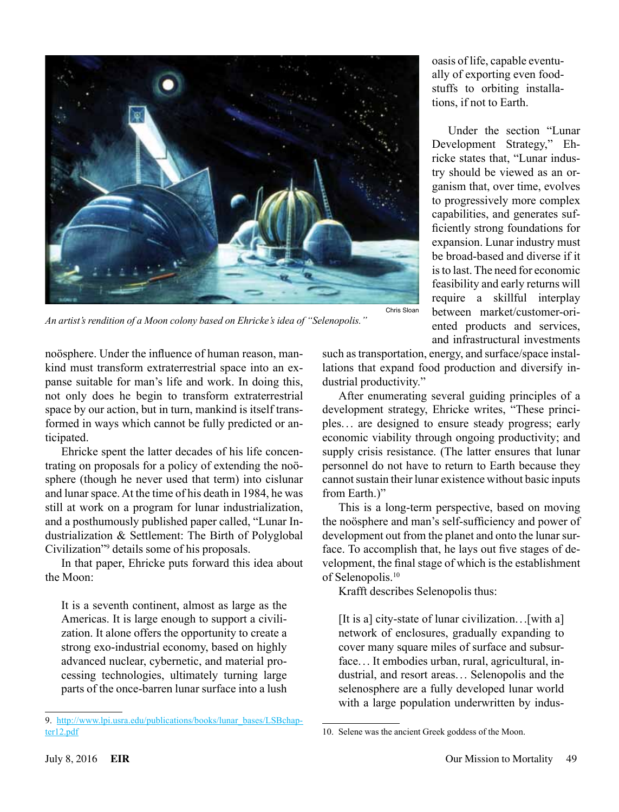

oasis of life, capable eventually of exporting even foodstuffs to orbiting installations, if not to Earth.

Under the section "Lunar Development Strategy," Ehricke states that, "Lunar industry should be viewed as an organism that, over time, evolves to progressively more complex capabilities, and generates sufficiently strong foundations for expansion. Lunar industry must be broad-based and diverse if it is to last. The need for economic feasibility and early returns will require a skillful interplay between market/customer-oriented products and services, and infrastructural investments

*An artist's rendition of a Moon colony based on Ehricke's idea of "Selenopolis."*

such as transportation, energy, and surface/space installations that expand food production and diversify industrial productivity."

After enumerating several guiding principles of a development strategy, Ehricke writes, "These principles. . . are designed to ensure steady progress; early economic viability through ongoing productivity; and supply crisis resistance. (The latter ensures that lunar personnel do not have to return to Earth because they cannot sustain their lunar existence without basic inputs from Earth.)"

This is a long-term perspective, based on moving the noösphere and man's self-sufficiency and power of development out from the planet and onto the lunar surface. To accomplish that, he lays out five stages of development, the final stage of which is the establishment of Selenopolis.<sup>10</sup>

Krafft describes Selenopolis thus:

10. Selene was the ancient Greek goddess of the Moon.

[It is a] city-state of lunar civilization.. .[with a] network of enclosures, gradually expanding to cover many square miles of surface and subsurface. .. It embodies urban, rural, agricultural, industrial, and resort areas... Selenopolis and the selenosphere are a fully developed lunar world with a large population underwritten by indus-

noösphere. Under the influence of human reason, mankind must transform extraterrestrial space into an expanse suitable for man's life and work. In doing this, not only does he begin to transform extraterrestrial space by our action, but in turn, mankind is itself transformed in ways which cannot be fully predicted or anticipated.

Ehricke spent the latter decades of his life concentrating on proposals for a policy of extending the noösphere (though he never used that term) into cislunar and lunar space. At the time of his death in 1984, he was still at work on a program for lunar industrialization, and a posthumously published paper called, "Lunar Industrialization & Settlement: The Birth of Polyglobal Civilization"9 details some of his proposals.

In that paper, Ehricke puts forward this idea about the Moon:

It is a seventh continent, almost as large as the Americas. It is large enough to support a civilization. It alone offers the opportunity to create a strong exo-industrial economy, based on highly advanced nuclear, cybernetic, and material processing technologies, ultimately turning large parts of the once-barren lunar surface into a lush

<sup>9.</sup> [http://www.lpi.usra.edu/publications/books/lunar\\_bases/LSBchap](http://www.lpi.usra.edu/publications/books/lunar_bases/LSBchapter12.pdf)[ter12.pdf](http://www.lpi.usra.edu/publications/books/lunar_bases/LSBchapter12.pdf)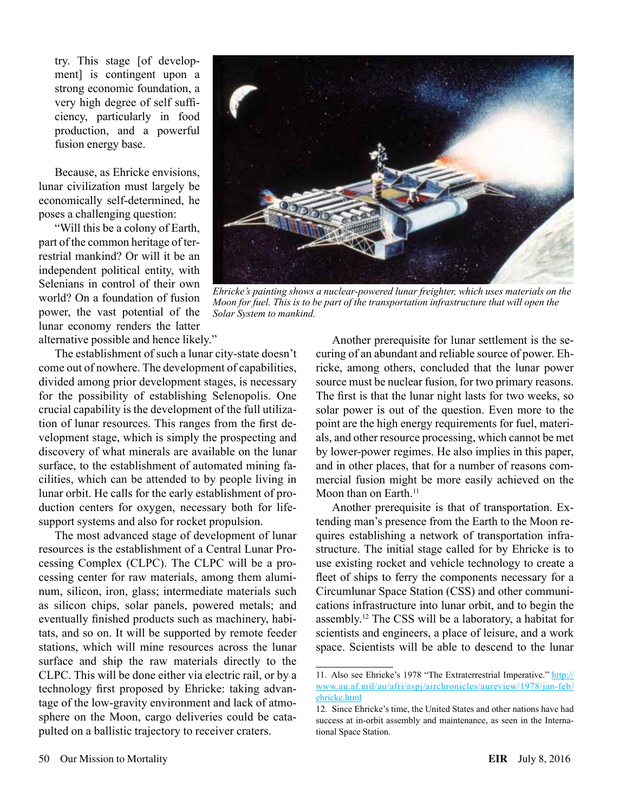try. This stage [of development] is contingent upon a strong economic foundation, a very high degree of self sufficiency, particularly in food production, and a powerful fusion energy base.

Because, as Ehricke envisions, lunar civilization must largely be economically self-determined, he poses a challenging question:

"Will this be a colony of Earth, part of the common heritage of terrestrial mankind? Or will it be an independent political entity, with Selenians in control of their own world? On a foundation of fusion power, the vast potential of the lunar economy renders the latter alternative possible and hence likely."

The establishment of such a lunar city-state doesn't come out of nowhere. The development of capabilities, divided among prior development stages, is necessary for the possibility of establishing Selenopolis. One crucial capability is the development of the full utilization of lunar resources. This ranges from the first development stage, which is simply the prospecting and discovery of what minerals are available on the lunar surface, to the establishment of automated mining facilities, which can be attended to by people living in lunar orbit. He calls for the early establishment of production centers for oxygen, necessary both for lifesupport systems and also for rocket propulsion.

The most advanced stage of development of lunar resources is the establishment of a Central Lunar Processing Complex (CLPC). The CLPC will be a processing center for raw materials, among them aluminum, silicon, iron, glass; intermediate materials such as silicon chips, solar panels, powered metals; and eventually finished products such as machinery, habitats, and so on. It will be supported by remote feeder stations, which will mine resources across the lunar surface and ship the raw materials directly to the CLPC. This will be done either via electric rail, or by a technology first proposed by Ehricke: taking advantage of the low-gravity environment and lack of atmosphere on the Moon, cargo deliveries could be catapulted on a ballistic trajectory to receiver craters.



*Ehricke's painting shows a nuclear-powered lunar freighter, which uses materials on the Moon for fuel. This is to be part of the transportation infrastructure that will open the Solar System to mankind.*

Another prerequisite for lunar settlement is the securing of an abundant and reliable source of power. Ehricke, among others, concluded that the lunar power source must be nuclear fusion, for two primary reasons. The first is that the lunar night lasts for two weeks, so solar power is out of the question. Even more to the point are the high energy requirements for fuel, materials, and other resource processing, which cannot be met by lower-power regimes. He also implies in this paper, and in other places, that for a number of reasons commercial fusion might be more easily achieved on the Moon than on Earth.<sup>11</sup>

Another prerequisite is that of transportation. Extending man's presence from the Earth to the Moon requires establishing a network of transportation infrastructure. The initial stage called for by Ehricke is to use existing rocket and vehicle technology to create a fleet of ships to ferry the components necessary for a Circumlunar Space Station (CSS) and other communications infrastructure into lunar orbit, and to begin the assembly.12 The CSS will be a laboratory, a habitat for scientists and engineers, a place of leisure, and a work space. Scientists will be able to descend to the lunar

<sup>11.</sup> Also see Ehricke's 1978 "The Extraterrestrial Imperative." [http://](http://www.au.af.mil/au/afri/aspj/airchronicles/aureview/1978/jan-feb/ehricke.html) [www.au.af.mil/au/afri/aspj/airchronicles/aureview/1978/jan-feb/](http://www.au.af.mil/au/afri/aspj/airchronicles/aureview/1978/jan-feb/ehricke.html) [ehricke.html](http://www.au.af.mil/au/afri/aspj/airchronicles/aureview/1978/jan-feb/ehricke.html)

<sup>12.</sup> Since Ehricke's time, the United States and other nations have had success at in-orbit assembly and maintenance, as seen in the International Space Station.